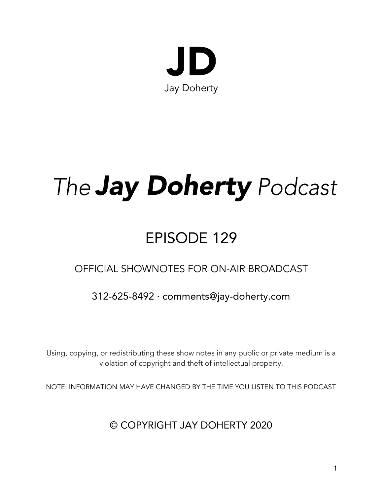

# The **Jay Doherty** Podcast

## EPISODE 129

## OFFICIAL SHOWNOTES FOR ON-AIR BROADCAST

## 312-625-8492 · comments@jay-doherty.com

Using, copying, or redistributing these show notes in any public or private medium is a violation of copyright and theft of intellectual property.

NOTE: INFORMATION MAY HAVE CHANGED BY THE TIME YOU LISTEN TO THIS PODCAST

© COPYRIGHT JAY DOHERTY 2020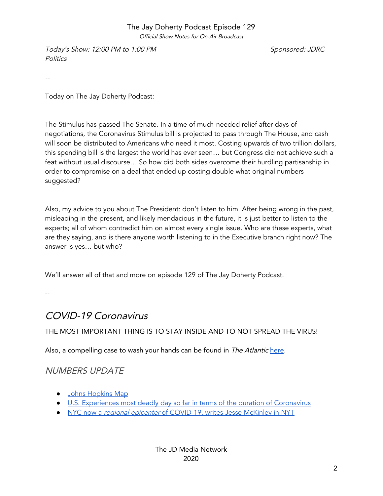Official Show Notes for On-Air Broadcast

Today's Show: 12:00 PM to 1:00 PM  $S$  ponsored: JDRC **Politics** 

--

Today on The Jay Doherty Podcast:

The Stimulus has passed The Senate. In a time of much-needed relief after days of negotiations, the Coronavirus Stimulus bill is projected to pass through The House, and cash will soon be distributed to Americans who need it most. Costing upwards of two trillion dollars, this spending bill is the largest the world has ever seen… but Congress did not achieve such a feat without usual discourse… So how did both sides overcome their hurdling partisanship in order to compromise on a deal that ended up costing double what original numbers suggested?

Also, my advice to you about The President: don't listen to him. After being wrong in the past, misleading in the present, and likely mendacious in the future, it is just better to listen to the experts; all of whom contradict him on almost every single issue. Who are these experts, what are they saying, and is there anyone worth listening to in the Executive branch right now? The answer is yes… but who?

We'll answer all of that and more on episode 129 of The Jay Doherty Podcast.

--

## COVID-19 Coronavirus

#### THE MOST IMPORTANT THING IS TO STAY INSIDE AND TO NOT SPREAD THE VIRUS!

Also, a compelling case to wash your hands can be found in The Atlantic [here](https://www.theatlantic.com/science/archive/2020/03/biography-new-coronavirus/608338/).

#### NUMBERS UPDATE

- Johns [Hopkins](https://jay-doherty.com/coronavirusmap/) Map
- U.S. [Experiences](https://www.cnn.com/2020/03/25/health/coronavirus-state-actions-wednesday/index.html) most deadly day so far in terms of the duration of Coronavirus
- [NYC](https://www.nytimes.com/2020/03/22/nyregion/Coronavirus-new-York-epicenter.html) now a regional [epicenter](https://www.nytimes.com/2020/03/22/nyregion/Coronavirus-new-York-epicenter.html) of [COVID-19,](https://www.nytimes.com/2020/03/22/nyregion/Coronavirus-new-York-epicenter.html) writes Jesse McKinley in NYT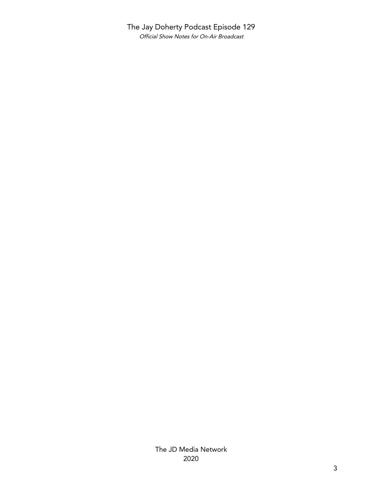#### The Jay Doherty Podcast Episode 129 Official Show Notes for On-Air Broadcast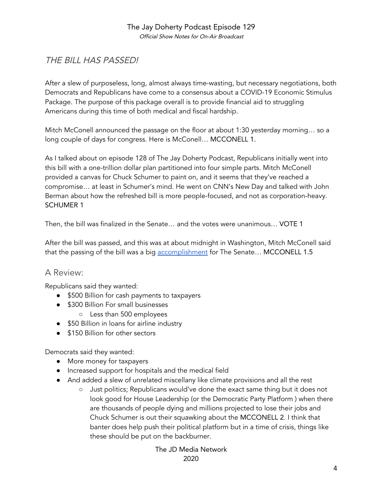#### The Jay Doherty Podcast Episode 129 Official Show Notes for On-Air Broadcast

#### THE BILL HAS PASSED!

After a slew of purposeless, long, almost always time-wasting, but necessary negotiations, both Democrats and Republicans have come to a consensus about a COVID-19 Economic Stimulus Package. The purpose of this package overall is to provide financial aid to struggling Americans during this time of both medical and fiscal hardship.

Mitch McConell announced the passage on the floor at about 1:30 yesterday morning… so a long couple of days for congress. Here is McConell... MCCONELL 1.

As I talked about on episode 128 of The Jay Doherty Podcast, Republicans initially went into this bill with a one-trillion dollar plan partitioned into four simple parts. Mitch McConell provided a canvas for Chuck Schumer to paint on, and it seems that they've reached a compromise… at least in Schumer's mind. He went on CNN's New Day and talked with John Berman about how the refreshed bill is more people-focused, and not as corporation-heavy. SCHUMER 1

Then, the bill was finalized in the Senate… and the votes were unanimous… VOTE 1

After the bill was passed, and this was at about midnight in Washington, Mitch McConell said that the passing of the bill was a big [accomplishment](https://www.washingtonpost.com/business/2020/03/26/senate-stimulus-bill-coronavirus-2-trillion-list-what-is-in-it/) for The Senate... MCCONELL 1.5

#### A Review:

Republicans said they wanted:

- \$500 Billion for cash payments to taxpayers
- \$300 Billion For small businesses
	- Less than 500 employees
- \$50 Billion in loans for airline industry
- \$150 Billion for other sectors

Democrats said they wanted:

- More money for taxpayers
- Increased support for hospitals and the medical field
- And added a slew of unrelated miscellany like climate provisions and all the rest
	- Just politics; Republicans would've done the exact same thing but it does not look good for House Leadership (or the Democratic Party Platform ) when there are thousands of people dying and millions projected to lose their jobs and Chuck Schumer is out their squawking about the MCCONELL 2. I think that banter does help push their political platform but in a time of crisis, things like these should be put on the backburner.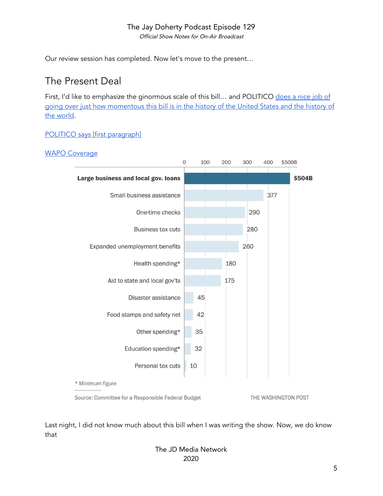Official Show Notes for On-Air Broadcast

Our review session has completed. Now let's move to the present…

## The Present Deal

First, I'd like to emphasize the ginormous scale of this bill... and POLITICO [does](https://www.politico.com/newsletters/politico-nightly-coronavirus-special-edition/2020/03/25/how-to-spend-2-trillion-488712) a nice job of going over just how [momentous](https://www.politico.com/newsletters/politico-nightly-coronavirus-special-edition/2020/03/25/how-to-spend-2-trillion-488712) this bill is in the history of the United States and the history of the [world](https://www.politico.com/newsletters/politico-nightly-coronavirus-special-edition/2020/03/25/how-to-spend-2-trillion-488712).

#### POLITICO says [first [paragraph\]](https://www.politico.com/newsletters/politico-nightly-coronavirus-special-edition/2020/03/25/how-to-spend-2-trillion-488712)

#### WAPO [Coverage](https://www.washingtonpost.com/business/2020/03/26/senate-stimulus-bill-coronavirus-2-trillion-list-what-is-in-it/)



Source: Committee for a Responsible Federal Budget

THE WASHINGTON POST

Last night, I did not know much about this bill when I was writing the show. Now, we do know that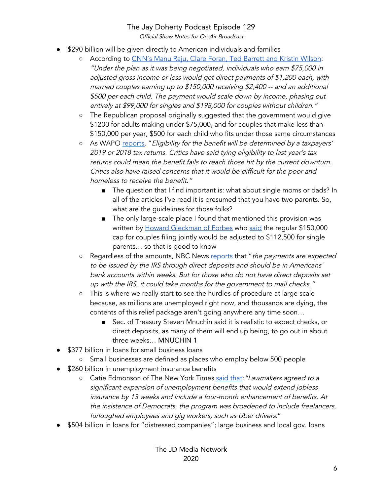Official Show Notes for On-Air Broadcast

- \$290 billion will be given directly to American individuals and families
	- *○* According to CNN's Manu Raju, Clare Foran, Ted [Barrett](https://www.cnn.com/2020/03/25/politics/stimulus-senate-action-coronavirus/index.html) and Kristin Wilson: "Under the plan as it was being negotiated, individuals who earn \$75,000 in adjusted gross income or less would get direct payments of \$1,200 each, with married couples earning up to \$150,000 receiving \$2,400 -- and an additional \$500 per each child. The payment would scale down by income, phasing out entirely at \$99,000 for singles and \$198,000 for couples without children."
	- The Republican proposal originally suggested that the government would give \$1200 for adults making under \$75,000, and for couples that make less than \$150,000 per year, \$500 for each child who fits under those same circumstances
	- As WAPO [reports,](https://www.washingtonpost.com/business/2020/03/26/senate-stimulus-bill-coronavirus-2-trillion-list-what-is-in-it/) "Eligibility for the benefit will be determined by a taxpayers' 2019 or 2018 tax returns. Critics have said tying eligibility to last year's tax returns could mean the benefit fails to reach those hit by the current downturn. Critics also have raised concerns that it would be difficult for the poor and homeless to receive the benefit."
		- The question that I find important is: what about single moms or dads? In all of the articles I've read it is presumed that you have two parents. So, what are the guidelines for those folks?
		- The only large-scale place I found that mentioned this provision was written by Howard [Gleckman](https://www.forbes.com/sites/howardgleckman/#59c5302c7417) of Forbes who [said](https://www.forbes.com/sites/howardgleckman/2020/03/23/direct-payments-in-coronavirus-stimulus-bill-are-well-targeted-to-lowand-middle-income-households/#367524016440) the regular \$150,000 cap for couples filing jointly would be adjusted to \$112,500 for single parents… so that is good to know
	- Regardless of the amounts, NBC News [reports](https://www.nbcnews.com/politics/congress/what-s-2-trillion-coronavirus-bill-here-s-how-it-n1168536) that "the payments are expected to be issued by the IRS through direct deposits and should be in Americans' bank accounts within weeks. But for those who do not have direct deposits set up with the IRS, it could take months for the government to mail checks."
	- This is where we really start to see the hurdles of procedure at large scale because, as millions are unemployed right now, and thousands are dying, the contents of this relief package aren't going anywhere any time soon…
		- Sec. of Treasury Steven Mnuchin said it is realistic to expect checks, or direct deposits, as many of them will end up being, to go out in about three weeks… MNUCHIN 1
- \$377 billion in loans for small business loans
	- Small businesses are defined as places who employ below 500 people
- \$260 billion in unemployment insurance benefits
	- *○* Catie Edmonson of The New York Times said [that:](https://www.nytimes.com/2020/03/25/us/politics/whats-in-coronavirus-stimulus-bill.html)"Lawmakers agreed to <sup>a</sup> significant expansion of unemployment benefits that would extend jobless insurance by 13 weeks and include <sup>a</sup> four-month enhancement of benefits. At the insistence of Democrats, the program was broadened to include freelancers, furloughed employees and <sup>g</sup>ig workers, such as Uber drivers."
- \$504 billion in loans for "distressed companies"; large business and local gov. loans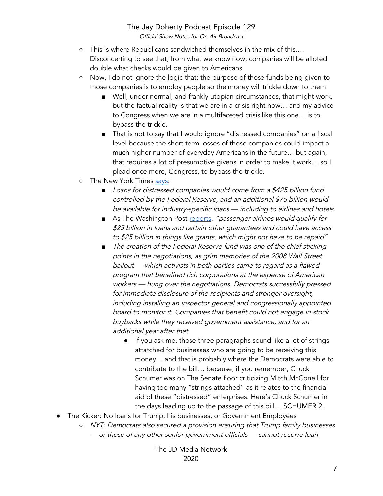Official Show Notes for On-Air Broadcast

- o This is where Republicans sandwiched themselves in the mix of this.... Disconcerting to see that, from what we know now, companies will be alloted double what checks would be given to Americans
- Now, I do not ignore the logic that: the purpose of those funds being given to those companies is to employ people so the money will trickle down to them
	- Well, under normal, and frankly utopian circumstances, that might work, but the factual reality is that we are in a crisis right now… and my advice to Congress when we are in a multifaceted crisis like this one… is to bypass the trickle.
	- That is not to say that I would ignore "distressed companies" on a fiscal level because the short term losses of those companies could impact a much higher number of everyday Americans in the future… but again, that requires a lot of presumptive givens in order to make it work… so I plead once more, Congress, to bypass the trickle.
- o The New York Times [says](https://www.nytimes.com/2020/03/25/us/politics/whats-in-coronavirus-stimulus-bill.html):
	- Loans for distressed companies would come from a \$425 billion fund controlled by the Federal Reserve, and an additional \$75 billion would be available for industry-specific loans — including to airlines and hotels.
	- As The Washington Post [reports,](https://www.washingtonpost.com/business/2020/03/25/trump-senate-coronavirus-economic-stimulus-2-trillion/) "passenger airlines would qualify for \$25 billion in loans and certain other quarantees and could have access to \$25 billion in things like grants, which might not have to be repaid"
	- *■* The creation of the Federal Reserve fund was one of the chief sticking points in the negotiations, as grim memories of the <sup>2008</sup> Wall Street bailout — which activists in both parties came to regard as <sup>a</sup> flawed program that benefited rich corporations at the expense of American workers — hung over the negotiations. Democrats successfully pressed for immediate disclosure of the recipients and stronger oversight, including installing an inspector general and congressionally appointed board to monitor it. Companies that benefit could not engage in stock buybacks while they received government assistance, and for an additional year after that.
		- If you ask me, those three paragraphs sound like a lot of strings attatched for businesses who are going to be receiving this money… and that is probably where the Democrats were able to contribute to the bill… because, if you remember, Chuck Schumer was on The Senate floor criticizing Mitch McConell for having too many "strings attached" as it relates to the financial aid of these "distressed" enterprises. Here's Chuck Schumer in the days leading up to the passage of this bill… SCHUMER 2.
- **●** The Kicker: No loans for Trump, his businesses, or Government Employees
	- **○** NYT: Democrats also secured <sup>a</sup> provision ensuring that Trump family businesses — or those of any other senior government officials — cannot receive loan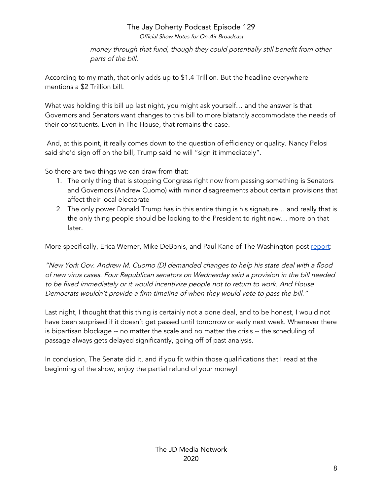Official Show Notes for On-Air Broadcast

money through that fund, though they could potentially still benefit from other parts of the bill.

According to my math, that only adds up to \$1.4 Trillion. But the headline everywhere mentions a \$2 Trillion bill.

What was holding this bill up last night, you might ask yourself… and the answer is that Governors and Senators want changes to this bill to more blatantly accommodate the needs of their constituents. Even in The House, that remains the case.

And, at this point, it really comes down to the question of efficiency or quality. Nancy Pelosi said she'd sign off on the bill, Trump said he will "sign it immediately".

So there are two things we can draw from that:

- 1. The only thing that is stopping Congress right now from passing something is Senators and Governors (Andrew Cuomo) with minor disagreements about certain provisions that affect their local electorate
- 2. The only power Donald Trump has in this entire thing is his signature… and really that is the only thing people should be looking to the President to right now… more on that later.

More specifically, Erica Werner, Mike DeBonis, and Paul Kane of The Washington post [report](https://www.washingtonpost.com/business/2020/03/25/trump-senate-coronavirus-economic-stimulus-2-trillion/):

"New York Gov. Andrew M. Cuomo (D) demanded changes to help his state deal with <sup>a</sup> flood of new virus cases. Four Republican senators on Wednesday said <sup>a</sup> provision in the bill needed to be fixed immediately or it would incentivize people not to return to work. And House Democrats wouldn't provide <sup>a</sup> firm timeline of when they would vote to pass the bill."

Last night, I thought that this thing is certainly not a done deal, and to be honest, I would not have been surprised if it doesn't get passed until tomorrow or early next week. Whenever there is bipartisan blockage -- no matter the scale and no matter the crisis -- the scheduling of passage always gets delayed significantly, going off of past analysis.

In conclusion, The Senate did it, and if you fit within those qualifications that I read at the beginning of the show, enjoy the partial refund of your money!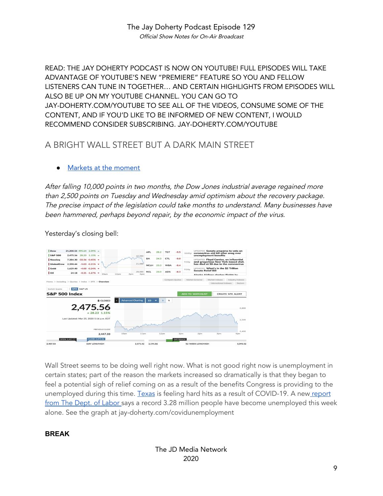READ: THE JAY DOHERTY PODCAST IS NOW ON YOUTUBE! FULL EPISODES WILL TAKE ADVANTAGE OF YOUTUBE'S NEW "PREMIERE" FEATURE SO YOU AND FELLOW LISTENERS CAN TUNE IN TOGETHER… AND CERTAIN HIGHLIGHTS FROM EPISODES WILL ALSO BE UP ON MY YOUTUBE CHANNEL. YOU CAN GO TO JAY-DOHERTY.COM/YOUTUBE TO SEE ALL OF THE VIDEOS, CONSUME SOME OF THE CONTENT, AND IF YOU'D LIKE TO BE INFORMED OF NEW CONTENT, I WOULD RECOMMEND CONSIDER SUBSCRIBING. JAY-DOHERTY.COM/YOUTUBE

#### A BRIGHT WALL STREET BUT A DARK MAIN STREET

#### Markets at the [moment](https://www.marketwatch.com/investing/index/djia?mod=home-page)

After falling 10,000 points in two months, the Dow Jones industrial average regained more than 2,500 points on Tuesday and Wednesday amid optimism about the recovery package. The precise impact of the legislation could take months to understand. Many businesses have been hammered, perhaps beyond repair, by the economic impact of the virus.

Yesterday's closing bell:



Wall Street seems to be doing well right now. What is not good right now is unemployment in certain states; part of the reason the markets increased so dramatically is that they began to feel a potential sigh of relief coming on as a result of the benefits Congress is providing to the unemployed during this time. [Texas](https://www.texastribune.org/2020/03/24/texas-unemployment-rate-has-more-doubled-9-comptroller-says/) is feeling hard hits as a result of COVID-19. A new [report](https://www.nytimes.com/interactive/2020/03/26/upshot/coronavirus-millions-unemployment-claims.html) from The Dept. of [Labor](https://www.nytimes.com/interactive/2020/03/26/upshot/coronavirus-millions-unemployment-claims.html) says a record 3.28 million people have become unemployed this week alone. See the graph at jay-doherty.com/covidunemployment

#### **BREAK**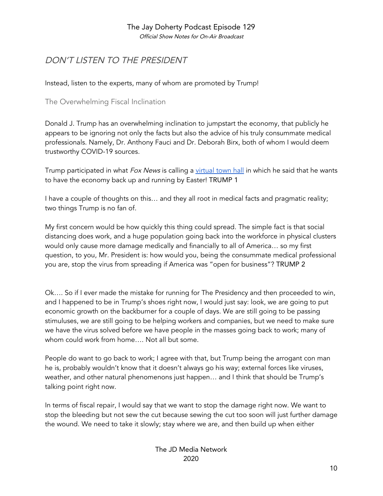Official Show Notes for On-Air Broadcast

#### DON'T LISTEN TO THE PRESIDENT

Instead, listen to the experts, many of whom are promoted by Trump!

#### The Overwhelming Fiscal Inclination

Donald J. Trump has an overwhelming inclination to jumpstart the economy, that publicly he appears to be ignoring not only the facts but also the advice of his truly consummate medical professionals. Namely, Dr. Anthony Fauci and Dr. Deborah Birx, both of whom I would deem trustworthy COVID-19 sources.

Trump participated in what Fox News is calling a [virtual](https://youtu.be/wy3NrqNN9uU) town hall in which he said that he wants to have the economy back up and running by Easter! TRUMP 1

I have a couple of thoughts on this… and they all root in medical facts and pragmatic reality; two things Trump is no fan of.

My first concern would be how quickly this thing could spread. The simple fact is that social distancing does work, and a huge population going back into the workforce in physical clusters would only cause more damage medically and financially to all of America… so my first question, to you, Mr. President is: how would you, being the consummate medical professional you are, stop the virus from spreading if America was "open for business"? TRUMP 2

Ok…. So if I ever made the mistake for running for The Presidency and then proceeded to win, and I happened to be in Trump's shoes right now, I would just say: look, we are going to put economic growth on the backburner for a couple of days. We are still going to be passing stimuluses, we are still going to be helping workers and companies, but we need to make sure we have the virus solved before we have people in the masses going back to work; many of whom could work from home…. Not all but some.

People do want to go back to work; I agree with that, but Trump being the arrogant con man he is, probably wouldn't know that it doesn't always go his way; external forces like viruses, weather, and other natural phenomenons just happen… and I think that should be Trump's talking point right now.

In terms of fiscal repair, I would say that we want to stop the damage right now. We want to stop the bleeding but not sew the cut because sewing the cut too soon will just further damage the wound. We need to take it slowly; stay where we are, and then build up when either